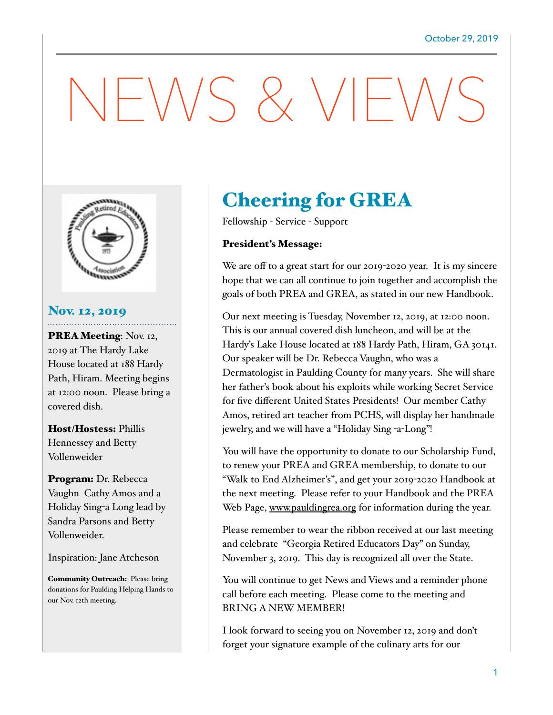## $-\sqrt{N}S \& V/F$



#### Nov. 12, 2019

PREA Meeting: Nov. 12, 2019 at The Hardy Lake House located at 188 Hardy Path, Hiram. Meeting begins at 12:00 noon. Please bring a covered dish.

Host/Hostess: Phillis Hennessey and Betty Vollenweider

Program: Dr. Rebecca Vaughn Cathy Amos and a Holiday Sing-a Long lead by Sandra Parsons and Betty Vollenweider.

Inspiration: Jane Atcheson

Community Outreach: Please bring donations for Paulding Helping Hands to our Nov. 12th meeting.

### Cheering for GREA

Fellowship - Service - Support

#### President's Message:

We are off to a great start for our 2019-2020 year. It is my sincere hope that we can all continue to join together and accomplish the goals of both PREA and GREA, as stated in our new Handbook.

Our next meeting is Tuesday, November 12, 2019, at 12:00 noon. This is our annual covered dish luncheon, and will be at the Hardy's Lake House located at 188 Hardy Path, Hiram, GA 30141. Our speaker will be Dr. Rebecca Vaughn, who was a Dermatologist in Paulding County for many years. She will share her father's book about his exploits while working Secret Service for five different United States Presidents! Our member Cathy Amos, retired art teacher from PCHS, will display her handmade jewelry, and we will have a "Holiday Sing -a-Long"!

You will have the opportunity to donate to our Scholarship Fund, to renew your PREA and GREA membership, to donate to our "Walk to End Alzheimer's", and get your 2019-2020 Handbook at the next meeting. Please refer to your Handbook and the PREA Web Page, www.pauldingrea.org for information during the year.

Please remember to wear the ribbon received at our last meeting and celebrate "Georgia Retired Educators Day" on Sunday, November 3, 2019. This day is recognized all over the State.

You will continue to get News and Views and a reminder phone call before each meeting. Please come to the meeting and BRING A NEW MEMBER!

I look forward to seeing you on November 12, 2019 and don't forget your signature example of the culinary arts for our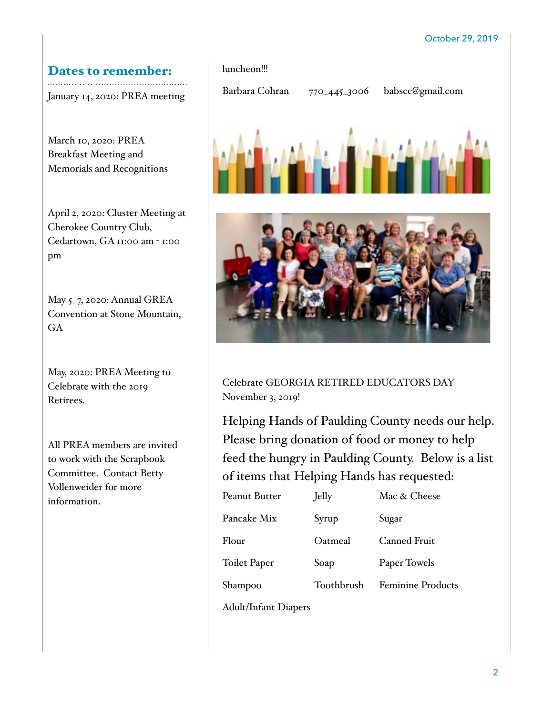#### Dates to remember:

January 14, 2020: PREA meeting

March 10, 2020: PREA Breakfast Meeting and Memorials and Recognitions

April 2, 2020: Cluster Meeting at Cherokee Country Club, Cedartown, GA 11:00 am - 1:00 pm

May 5\_7, 2020: Annual GREA Convention at Stone Mountain, GA

May, 2020: PREA Meeting to Celebrate with the 2019 Retirees.

All PREA members are invited to work with the Scrapbook Committee. Contact Betty Vollenweider for more information.

# luncheon!!! Barbara Cohran 770\_445\_3006 babscc@gmail.com

Celebrate GEORGIA RETIRED EDUCATORS DAY November 3, 2019!

Helping Hands of Paulding County needs our help. Please bring donation of food or money to help feed the hungry in Paulding County. Below is a list of items that Helping Hands has requested:

| Peanut Butter       | Jelly      | Mac & Cheese             |
|---------------------|------------|--------------------------|
| Pancake Mix         | Syrup      | Sugar                    |
| Flour               | Oatmeal    | Canned Fruit             |
| <b>Toilet Paper</b> | Soap       | Paper Towels             |
| Shampoo             | Toothbrush | <b>Feminine Products</b> |

Adult/Infant Diapers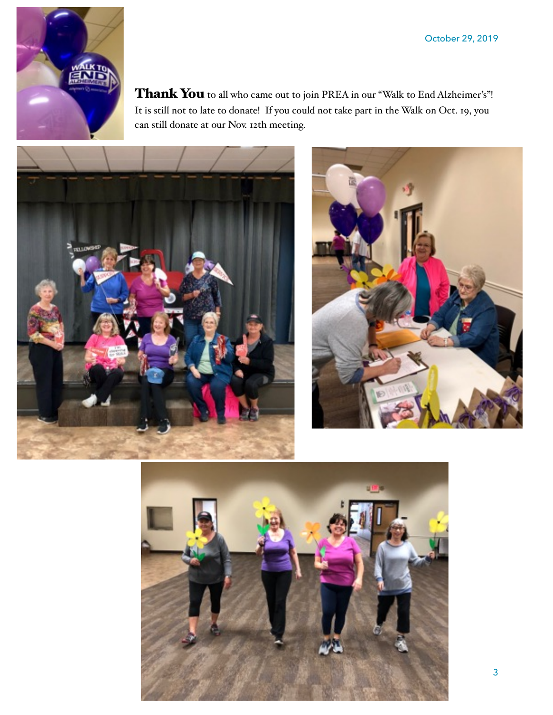

Thank You to all who came out to join PREA in our "Walk to End Alzheimer's"! It is still not to late to donate! If you could not take part in the Walk on Oct. 19, you can still donate at our Nov. 12th meeting.





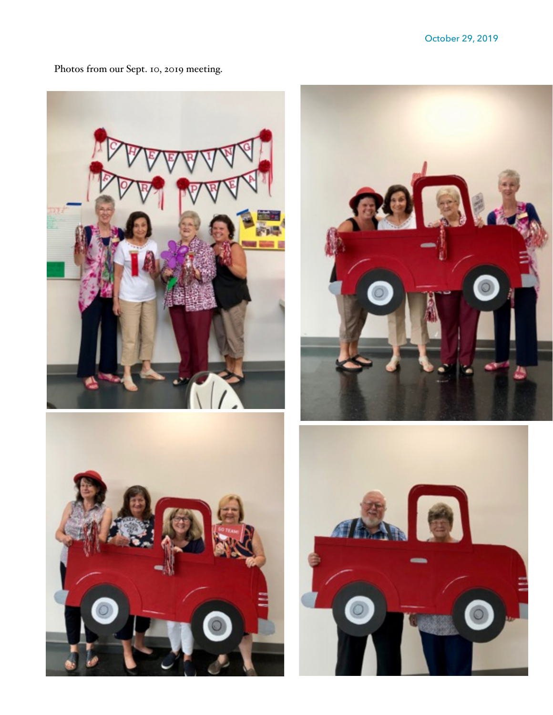





Photos from our Sept. 10, 2019 meeting.